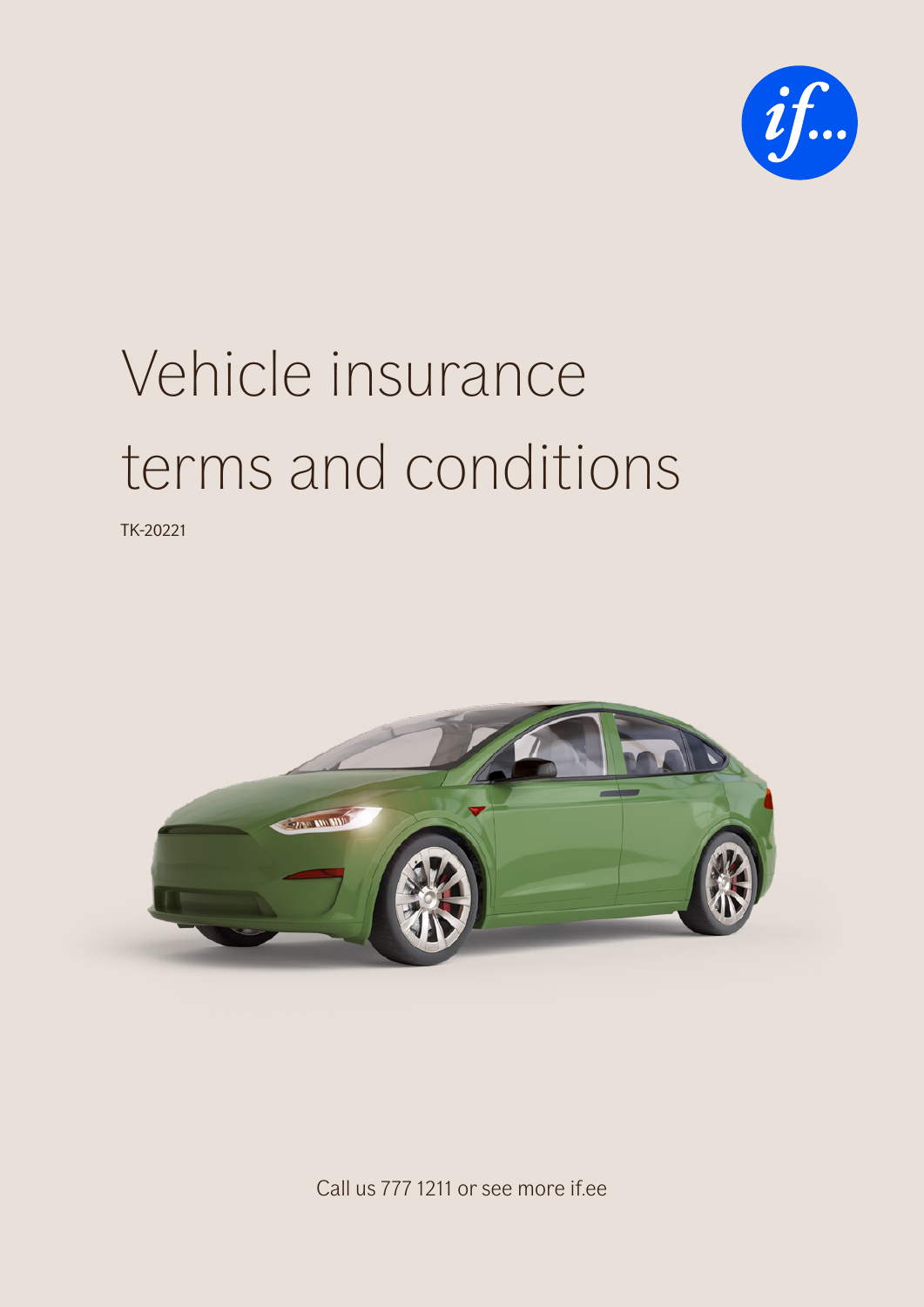

# Vehicle insurance terms and conditions

TK-20221



Call us 777 1211 or see more if.ee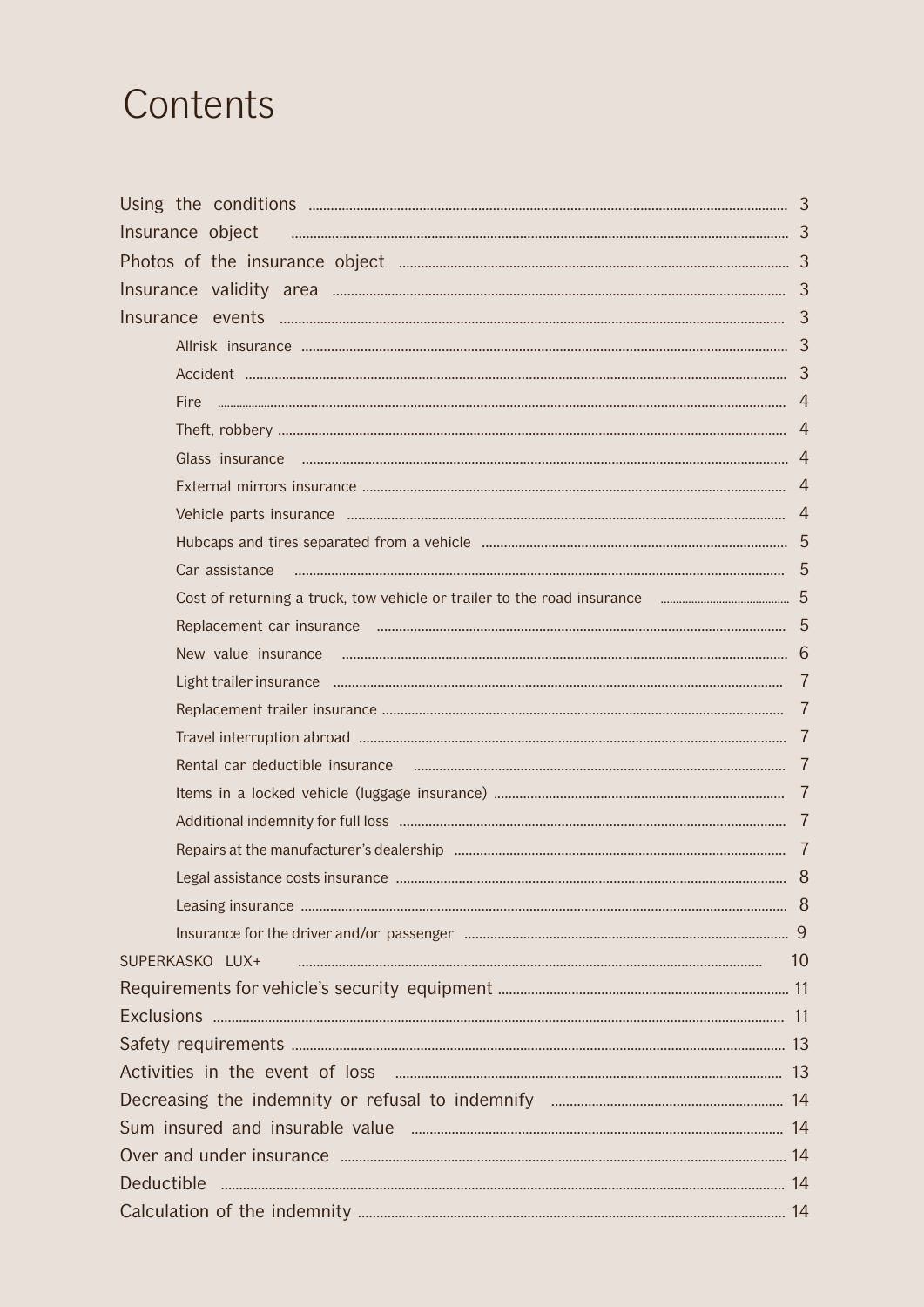## Contents

| Fire            |  |  |
|-----------------|--|--|
|                 |  |  |
|                 |  |  |
|                 |  |  |
|                 |  |  |
|                 |  |  |
| Car assistance  |  |  |
|                 |  |  |
|                 |  |  |
|                 |  |  |
|                 |  |  |
|                 |  |  |
|                 |  |  |
|                 |  |  |
|                 |  |  |
|                 |  |  |
|                 |  |  |
|                 |  |  |
|                 |  |  |
|                 |  |  |
| SUPERKASKO LUX+ |  |  |
|                 |  |  |
|                 |  |  |
|                 |  |  |
|                 |  |  |
|                 |  |  |
|                 |  |  |
|                 |  |  |
|                 |  |  |
|                 |  |  |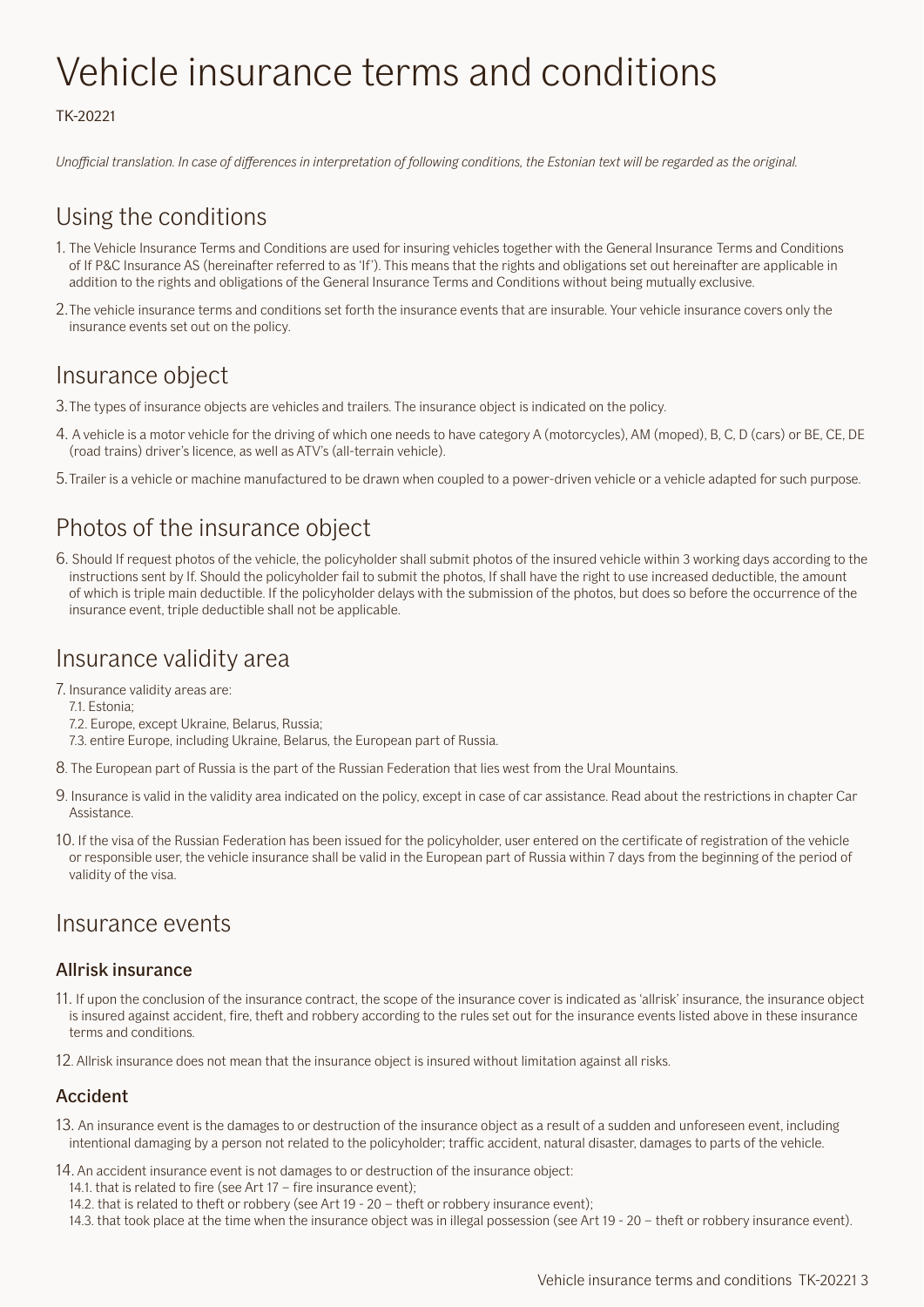## <span id="page-2-0"></span>Vehicle insurance terms and conditions

#### TK-20221

*Unofficial translation. In case of differences in interpretation of following conditions, the Estonian text will be regarded as the original.*

## Using the conditions

- 1. The Vehicle Insurance Terms and Conditions are used for insuring vehicles together with the General Insurance Terms and Conditions of If P&C Insurance AS (hereinafter referred to as 'If'). This means that the rights and obligations set out hereinafter are applicable in addition to the rights and obligations of the General Insurance Terms and Conditions without being mutually exclusive.
- 2.The vehicle insurance terms and conditions set forth the insurance events that are insurable. Your vehicle insurance covers only the insurance events set out on the policy.

## Insurance object

- 3.The types of insurance objects are vehicles and trailers. The insurance object is indicated on the policy.
- 4. A vehicle is a motor vehicle for the driving of which one needs to have category A (motorcycles), AM (moped), B, C, D (cars) or BE, CE, DE (road trains) driver's licence, as well as ATV's (all-terrain vehicle).
- 5.Trailer is a vehicle or machine manufactured to be drawn when coupled to a power-driven vehicle or a vehicle adapted for such purpose.

## Photos of the insurance object

6. Should If request photos of the vehicle, the policyholder shall submit photos of the insured vehicle within 3 working days according to the instructions sent by If. Should the policyholder fail to submit the photos, If shall have the right to use increased deductible, the amount of which is triple main deductible. If the policyholder delays with the submission of the photos, but does so before the occurrence of the insurance event, triple deductible shall not be applicable.

### Insurance validity area

7. Insurance validity areas are:

- 7.1. Estonia;
- 7.2. Europe, except Ukraine, Belarus, Russia;
- 7.3. entire Europe, including Ukraine, Belarus, the European part of Russia.
- 8. The European part of Russia is the part of the Russian Federation that lies west from the Ural Mountains.
- 9. Insurance is valid in the validity area indicated on the policy, except in case of car assistance. Read about the restrictions in chapter Car Assistance.
- 10. If the visa of the Russian Federation has been issued for the policyholder, user entered on the certificate of registration of the vehicle or responsible user, the vehicle insurance shall be valid in the European part of Russia within 7 days from the beginning of the period of validity of the visa.

### Insurance events

#### Allrisk insurance

- 11. If upon the conclusion of the insurance contract, the scope of the insurance cover is indicated as 'allrisk' insurance, the insurance object is insured against accident, fire, theft and robbery according to the rules set out for the insurance events listed above in these insurance terms and conditions.
- 12. Allrisk insurance does not mean that the insurance object is insured without limitation against all risks.

#### Accident

- 13. An insurance event is the damages to or destruction of the insurance object as a result of a sudden and unforeseen event, including intentional damaging by a person not related to the policyholder; traffic accident, natural disaster, damages to parts of the vehicle.
- 14. An accident insurance event is not damages to or destruction of the insurance object:
	- 14.1. that is related to fire (see Art 17 fire insurance event);
	- 14.2. that is related to theft or robbery (see Art 19 20 theft or robbery insurance event);
	- 14.3. that took place at the time when the insurance object was in illegal possession (see Art 19 20 theft or robbery insurance event).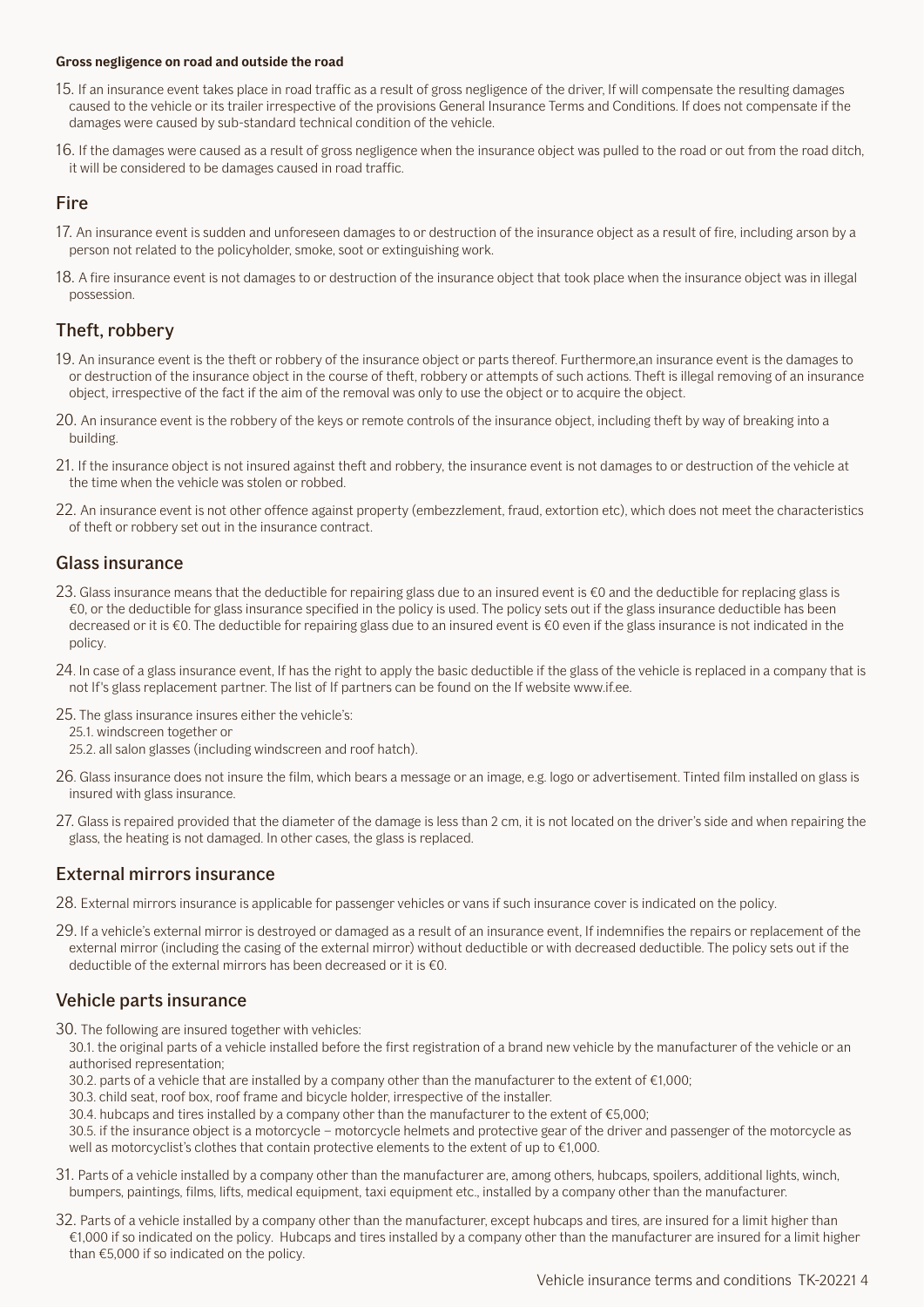#### <span id="page-3-0"></span>**Gross negligence on road and outside the road**

- 15. If an insurance event takes place in road traffic as a result of gross negligence of the driver, If will compensate the resulting damages caused to the vehicle or its trailer irrespective of the provisions General Insurance Terms and Conditions. If does not compensate if the damages were caused by sub-standard technical condition of the vehicle.
- 16. If the damages were caused as a result of gross negligence when the insurance object was pulled to the road or out from the road ditch, it will be considered to be damages caused in road traffic.

#### **Fire**

- 17. An insurance event is sudden and unforeseen damages to or destruction of the insurance object as a result of fire, including arson by a person not related to the policyholder, smoke, soot or extinguishing work.
- 18. A fire insurance event is not damages to or destruction of the insurance object that took place when the insurance object was in illegal possession.

#### Theft, robbery

- 19. An insurance event is the theft or robbery of the insurance object or parts thereof. Furthermore,an insurance event is the damages to or destruction of the insurance object in the course of theft, robbery or attempts of such actions. Theft is illegal removing of an insurance object, irrespective of the fact if the aim of the removal was only to use the object or to acquire the object.
- 20. An insurance event is the robbery of the keys or remote controls of the insurance object, including theft by way of breaking into a building.
- 21. If the insurance object is not insured against theft and robbery, the insurance event is not damages to or destruction of the vehicle at the time when the vehicle was stolen or robbed.
- 22. An insurance event is not other offence against property (embezzlement, fraud, extortion etc), which does not meet the characteristics of theft or robbery set out in the insurance contract.

#### Glass insurance

- 23. Glass insurance means that the deductible for repairing glass due to an insured event is €0 and the deductible for replacing glass is €0, or the deductible for glass insurance specified in the policy is used. The policy sets out if the glass insurance deductible has been decreased or it is €0. The deductible for repairing glass due to an insured event is €0 even if the glass insurance is not indicated in the policy.
- 24. In case of a glass insurance event, If has the right to apply the basic deductible if the glass of the vehicle is replaced in a company that is not If's glass replacement partner. The list of If partners can be found on the If website www.if.ee.
- 25. The glass insurance insures either the vehicle's:
	- 25.1. windscreen together or
	- 25.2. all salon glasses (including windscreen and roof hatch).
- 26. Glass insurance does not insure the film, which bears a message or an image, e.g. logo or advertisement. Tinted film installed on glass is insured with glass insurance.
- 27. Glass is repaired provided that the diameter of the damage is less than 2 cm, it is not located on the driver's side and when repairing the glass, the heating is not damaged. In other cases, the glass is replaced.

#### External mirrors insurance

- 28. External mirrors insurance is applicable for passenger vehicles or vans if such insurance cover is indicated on the policy.
- 29. If a vehicle's external mirror is destroyed or damaged as a result of an insurance event, If indemnifies the repairs or replacement of the external mirror (including the casing of the external mirror) without deductible or with decreased deductible. The policy sets out if the deductible of the external mirrors has been decreased or it is  $\epsilon$ 0.

#### Vehicle parts insurance

- 30. The following are insured together with vehicles:
	- 30.1. the original parts of a vehicle installed before the first registration of a brand new vehicle by the manufacturer of the vehicle or an authorised representation;
	- 30.2. parts of a vehicle that are installed by a company other than the manufacturer to the extent of €1,000;
	- 30.3. child seat, roof box, roof frame and bicycle holder, irrespective of the installer.
	- 30.4. hubcaps and tires installed by a company other than the manufacturer to the extent of €5,000;
	- 30.5. if the insurance object is a motorcycle motorcycle helmets and protective gear of the driver and passenger of the motorcycle as well as motorcyclist's clothes that contain protective elements to the extent of up to €1,000.
- 31. Parts of a vehicle installed by a company other than the manufacturer are, among others, hubcaps, spoilers, additional lights, winch, bumpers, paintings, films, lifts, medical equipment, taxi equipment etc., installed by a company other than the manufacturer.
- 32. Parts of a vehicle installed by a company other than the manufacturer, except hubcaps and tires, are insured for a limit higher than €1,000 if so indicated on the policy. Hubcaps and tires installed by a company other than the manufacturer are insured for a limit higher than €5,000 if so indicated on the policy.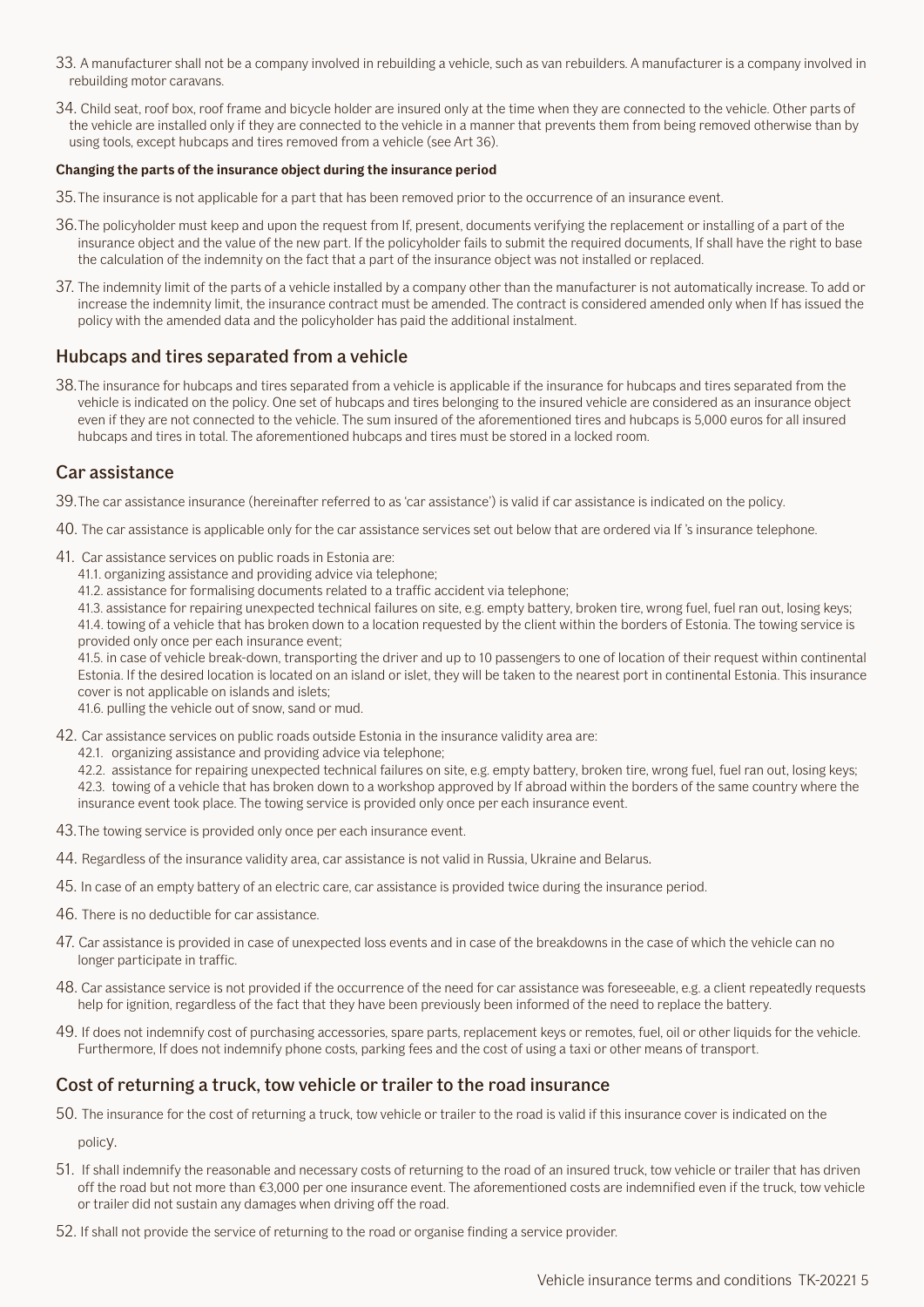- <span id="page-4-0"></span>33. A manufacturer shall not be a company involved in rebuilding a vehicle, such as van rebuilders. A manufacturer is a company involved in rebuilding motor caravans.
- 34. Child seat, roof box, roof frame and bicycle holder are insured only at the time when they are connected to the vehicle. Other parts of the vehicle are installed only if they are connected to the vehicle in a manner that prevents them from being removed otherwise than by using tools, except hubcaps and tires removed from a vehicle (see Art 36).

#### **Changing the parts of the insurance object during the insurance period**

- 35.The insurance is not applicable for a part that has been removed prior to the occurrence of an insurance event.
- 36.The policyholder must keep and upon the request from If, present, documents verifying the replacement or installing of a part of the insurance object and the value of the new part. If the policyholder fails to submit the required documents, If shall have the right to base the calculation of the indemnity on the fact that a part of the insurance object was not installed or replaced.
- 37. The indemnity limit of the parts of a vehicle installed by a company other than the manufacturer is not automatically increase. To add or increase the indemnity limit, the insurance contract must be amended. The contract is considered amended only when If has issued the policy with the amended data and the policyholder has paid the additional instalment.

#### Hubcaps and tires separated from a vehicle

38.The insurance for hubcaps and tires separated from a vehicle is applicable if the insurance for hubcaps and tires separated from the vehicle is indicated on the policy. One set of hubcaps and tires belonging to the insured vehicle are considered as an insurance object even if they are not connected to the vehicle. The sum insured of the aforementioned tires and hubcaps is 5,000 euros for all insured hubcaps and tires in total. The aforementioned hubcaps and tires must be stored in a locked room.

#### Car assistance

39.The car assistance insurance (hereinafter referred to as 'car assistance') is valid if car assistance is indicated on the policy.

- 40. The car assistance is applicable only for the car assistance services set out below that are ordered via If 's insurance telephone.
- 41. Car assistance services on public roads in Estonia are:
	- 41.1. organizing assistance and providing advice via telephone;
	- 41.2. assistance for formalising documents related to a traffic accident via telephone;

41.3. assistance for repairing unexpected technical failures on site, e.g. empty battery, broken tire, wrong fuel, fuel ran out, losing keys; 41.4. towing of a vehicle that has broken down to a location requested by the client within the borders of Estonia. The towing service is provided only once per each insurance event;

41.5. in case of vehicle break-down, transporting the driver and up to 10 passengers to one of location of their request within continental Estonia. If the desired location is located on an island or islet, they will be taken to the nearest port in continental Estonia. This insurance cover is not applicable on islands and islets;

41.6. pulling the vehicle out of snow, sand or mud.

- 42. Car assistance services on public roads outside Estonia in the insurance validity area are:
	- 42.1. organizing assistance and providing advice via telephone;

42.2. assistance for repairing unexpected technical failures on site, e.g. empty battery, broken tire, wrong fuel, fuel ran out, losing keys; 42.3. towing of a vehicle that has broken down to a workshop approved by If abroad within the borders of the same country where the insurance event took place. The towing service is provided only once per each insurance event.

- 43.The towing service is provided only once per each insurance event.
- 44. Regardless of the insurance validity area, car assistance is not valid in Russia, Ukraine and Belarus.
- 45. In case of an empty battery of an electric care, car assistance is provided twice during the insurance period.
- 46. There is no deductible for car assistance.
- 47. Car assistance is provided in case of unexpected loss events and in case of the breakdowns in the case of which the vehicle can no longer participate in traffic.
- 48. Car assistance service is not provided if the occurrence of the need for car assistance was foreseeable, e.g. a client repeatedly requests help for ignition, regardless of the fact that they have been previously been informed of the need to replace the battery.
- 49. If does not indemnify cost of purchasing accessories, spare parts, replacement keys or remotes, fuel, oil or other liquids for the vehicle. Furthermore, If does not indemnify phone costs, parking fees and the cost of using a taxi or other means of transport.

#### Cost of returning a truck, tow vehicle or trailer to the road insurance

50. The insurance for the cost of returning a truck, tow vehicle or trailer to the road is valid if this insurance cover is indicated on the

policy.

- 51. If shall indemnify the reasonable and necessary costs of returning to the road of an insured truck, tow vehicle or trailer that has driven off the road but not more than €3,000 per one insurance event. The aforementioned costs are indemnified even if the truck, tow vehicle or trailer did not sustain any damages when driving off the road.
- 52. If shall not provide the service of returning to the road or organise finding a service provider.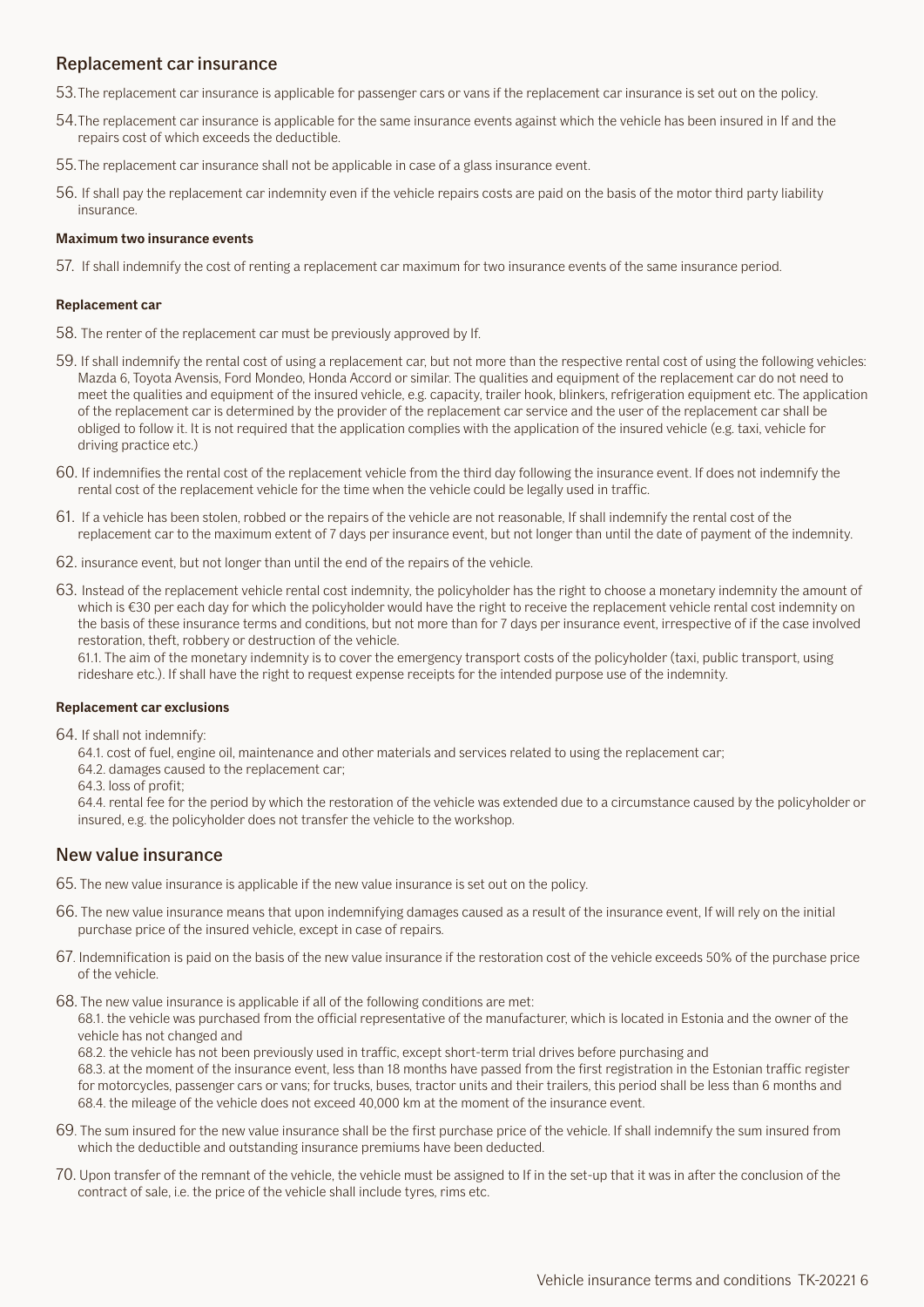#### <span id="page-5-0"></span>Replacement car insurance

- 53.The replacement car insurance is applicable for passenger cars or vans if the replacement car insurance is set out on the policy.
- 54.The replacement car insurance is applicable for the same insurance events against which the vehicle has been insured in If and the repairs cost of which exceeds the deductible.
- 55.The replacement car insurance shall not be applicable in case of a glass insurance event.
- 56. If shall pay the replacement car indemnity even if the vehicle repairs costs are paid on the basis of the motor third party liability insurance.

#### **Maximum two insurance events**

57. If shall indemnify the cost of renting a replacement car maximum for two insurance events of the same insurance period.

#### **Replacement car**

- 58. The renter of the replacement car must be previously approved by If.
- 59. If shall indemnify the rental cost of using a replacement car, but not more than the respective rental cost of using the following vehicles: Mazda 6, Toyota Avensis, Ford Mondeo, Honda Accord or similar. The qualities and equipment of the replacement car do not need to meet the qualities and equipment of the insured vehicle, e.g. capacity, trailer hook, blinkers, refrigeration equipment etc. The application of the replacement car is determined by the provider of the replacement car service and the user of the replacement car shall be obliged to follow it. It is not required that the application complies with the application of the insured vehicle (e.g. taxi, vehicle for driving practice etc.)
- 60. If indemnifies the rental cost of the replacement vehicle from the third day following the insurance event. If does not indemnify the rental cost of the replacement vehicle for the time when the vehicle could be legally used in traffic.
- 61. If a vehicle has been stolen, robbed or the repairs of the vehicle are not reasonable, If shall indemnify the rental cost of the replacement car to the maximum extent of 7 days per insurance event, but not longer than until the date of payment of the indemnity.
- 62. insurance event, but not longer than until the end of the repairs of the vehicle.
- 63. Instead of the replacement vehicle rental cost indemnity, the policyholder has the right to choose a monetary indemnity the amount of which is €30 per each day for which the policyholder would have the right to receive the replacement vehicle rental cost indemnity on the basis of these insurance terms and conditions, but not more than for 7 days per insurance event, irrespective of if the case involved restoration, theft, robbery or destruction of the vehicle.

61.1. The aim of the monetary indemnity is to cover the emergency transport costs of the policyholder (taxi, public transport, using rideshare etc.). If shall have the right to request expense receipts for the intended purpose use of the indemnity.

#### **Replacement car exclusions**

64. If shall not indemnify:

64.1. cost of fuel, engine oil, maintenance and other materials and services related to using the replacement car;

64.2. damages caused to the replacement car;

64.3. loss of profit;

64.4. rental fee for the period by which the restoration of the vehicle was extended due to a circumstance caused by the policyholder or insured, e.g. the policyholder does not transfer the vehicle to the workshop.

#### New value insurance

- 65. The new value insurance is applicable if the new value insurance is set out on the policy.
- 66. The new value insurance means that upon indemnifying damages caused as a result of the insurance event, If will rely on the initial purchase price of the insured vehicle, except in case of repairs.
- 67. Indemnification is paid on the basis of the new value insurance if the restoration cost of the vehicle exceeds 50% of the purchase price of the vehicle.
- 68. The new value insurance is applicable if all of the following conditions are met:

68.1. the vehicle was purchased from the official representative of the manufacturer, which is located in Estonia and the owner of the vehicle has not changed and

68.2. the vehicle has not been previously used in traffic, except short-term trial drives before purchasing and

68.3. at the moment of the insurance event, less than 18 months have passed from the first registration in the Estonian traffic register for motorcycles, passenger cars or vans; for trucks, buses, tractor units and their trailers, this period shall be less than 6 months and 68.4. the mileage of the vehicle does not exceed 40,000 km at the moment of the insurance event.

- 69. The sum insured for the new value insurance shall be the first purchase price of the vehicle. If shall indemnify the sum insured from which the deductible and outstanding insurance premiums have been deducted.
- 70. Upon transfer of the remnant of the vehicle, the vehicle must be assigned to If in the set-up that it was in after the conclusion of the contract of sale, i.e. the price of the vehicle shall include tyres, rims etc.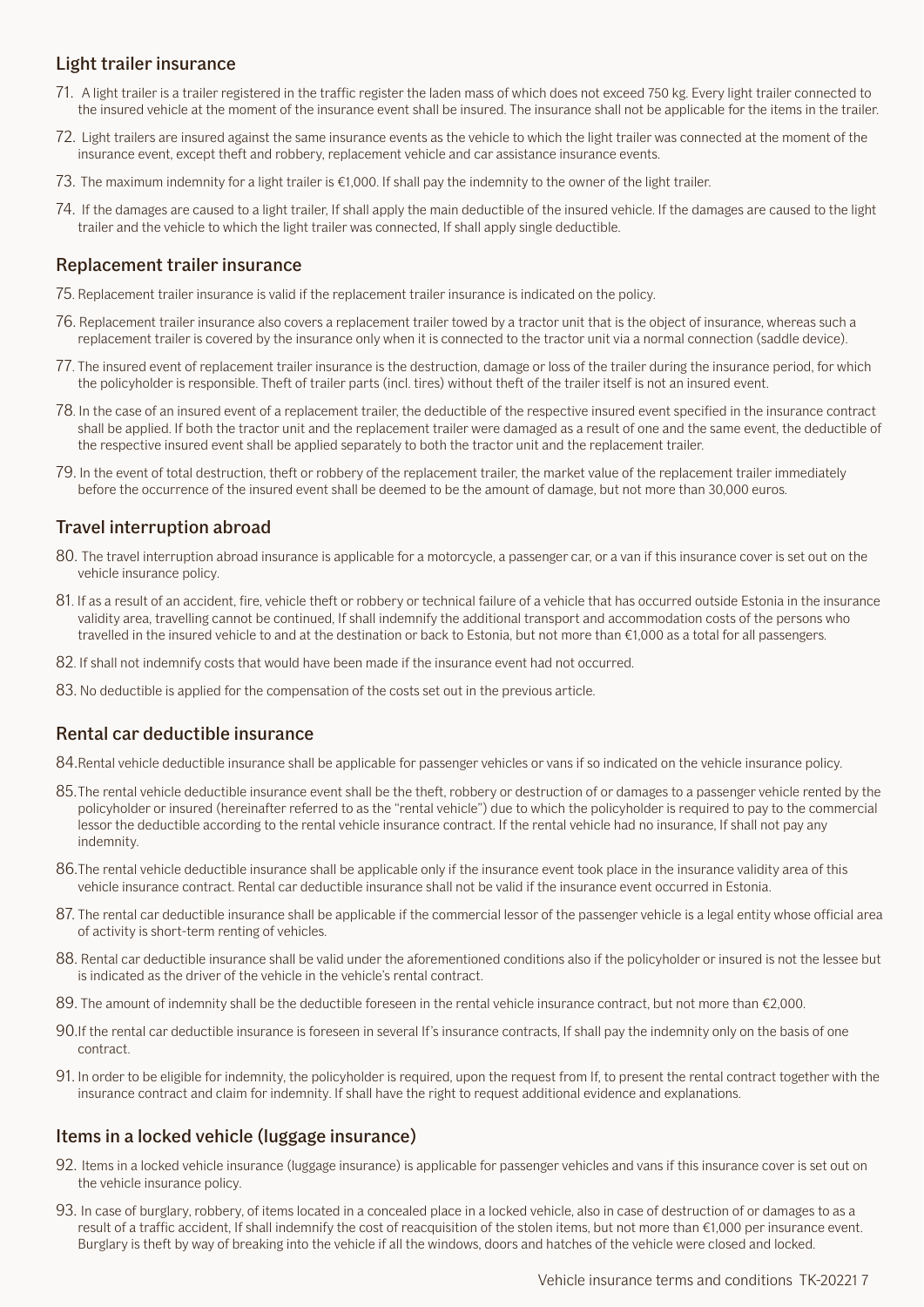#### <span id="page-6-0"></span>Light trailer insurance

- 71. A light trailer is a trailer registered in the traffic register the laden mass of which does not exceed 750 kg. Every light trailer connected to the insured vehicle at the moment of the insurance event shall be insured. The insurance shall not be applicable for the items in the trailer.
- 72. Light trailers are insured against the same insurance events as the vehicle to which the light trailer was connected at the moment of the insurance event, except theft and robbery, replacement vehicle and car assistance insurance events.
- 73. The maximum indemnity for a light trailer is €1,000. If shall pay the indemnity to the owner of the light trailer.
- 74. If the damages are caused to a light trailer, If shall apply the main deductible of the insured vehicle. If the damages are caused to the light trailer and the vehicle to which the light trailer was connected, If shall apply single deductible.

#### Replacement trailer insurance

- 75. Replacement trailer insurance is valid if the replacement trailer insurance is indicated on the policy.
- 76. Replacement trailer insurance also covers a replacement trailer towed by a tractor unit that is the object of insurance, whereas such a replacement trailer is covered by the insurance only when it is connected to the tractor unit via a normal connection (saddle device).
- 77. The insured event of replacement trailer insurance is the destruction, damage or loss of the trailer during the insurance period, for which the policyholder is responsible. Theft of trailer parts (incl. tires) without theft of the trailer itself is not an insured event.
- 78. In the case of an insured event of a replacement trailer, the deductible of the respective insured event specified in the insurance contract shall be applied. If both the tractor unit and the replacement trailer were damaged as a result of one and the same event, the deductible of the respective insured event shall be applied separately to both the tractor unit and the replacement trailer.
- 79. In the event of total destruction, theft or robbery of the replacement trailer, the market value of the replacement trailer immediately before the occurrence of the insured event shall be deemed to be the amount of damage, but not more than 30,000 euros.

#### Travel interruption abroad

- 80. The travel interruption abroad insurance is applicable for a motorcycle, a passenger car, or a van if this insurance cover is set out on the vehicle insurance policy.
- 81. If as a result of an accident, fire, vehicle theft or robbery or technical failure of a vehicle that has occurred outside Estonia in the insurance validity area, travelling cannot be continued, If shall indemnify the additional transport and accommodation costs of the persons who travelled in the insured vehicle to and at the destination or back to Estonia, but not more than €1,000 as a total for all passengers.
- 82. If shall not indemnify costs that would have been made if the insurance event had not occurred.
- 83. No deductible is applied for the compensation of the costs set out in the previous article.

#### Rental car deductible insurance

84.Rental vehicle deductible insurance shall be applicable for passenger vehicles or vans if so indicated on the vehicle insurance policy.

- 85.The rental vehicle deductible insurance event shall be the theft, robbery or destruction of or damages to a passenger vehicle rented by the policyholder or insured (hereinafter referred to as the "rental vehicle") due to which the policyholder is required to pay to the commercial lessor the deductible according to the rental vehicle insurance contract. If the rental vehicle had no insurance, If shall not pay any indemnity.
- 86.The rental vehicle deductible insurance shall be applicable only if the insurance event took place in the insurance validity area of this vehicle insurance contract. Rental car deductible insurance shall not be valid if the insurance event occurred in Estonia.
- 87. The rental car deductible insurance shall be applicable if the commercial lessor of the passenger vehicle is a legal entity whose official area of activity is short-term renting of vehicles.
- 88. Rental car deductible insurance shall be valid under the aforementioned conditions also if the policyholder or insured is not the lessee but is indicated as the driver of the vehicle in the vehicle's rental contract.
- 89. The amount of indemnity shall be the deductible foreseen in the rental vehicle insurance contract, but not more than €2,000.
- 90.If the rental car deductible insurance is foreseen in several If's insurance contracts, If shall pay the indemnity only on the basis of one contract.
- 91. In order to be eligible for indemnity, the policyholder is required, upon the request from If, to present the rental contract together with the insurance contract and claim for indemnity. If shall have the right to request additional evidence and explanations.

#### Items in a locked vehicle (luggage insurance)

- 92. Items in a locked vehicle insurance (luggage insurance) is applicable for passenger vehicles and vans if this insurance cover is set out on the vehicle insurance policy.
- 93. In case of burglary, robbery, of items located in a concealed place in a locked vehicle, also in case of destruction of or damages to as a result of a traffic accident, If shall indemnify the cost of reacquisition of the stolen items, but not more than €1,000 per insurance event. Burglary is theft by way of breaking into the vehicle if all the windows, doors and hatches of the vehicle were closed and locked.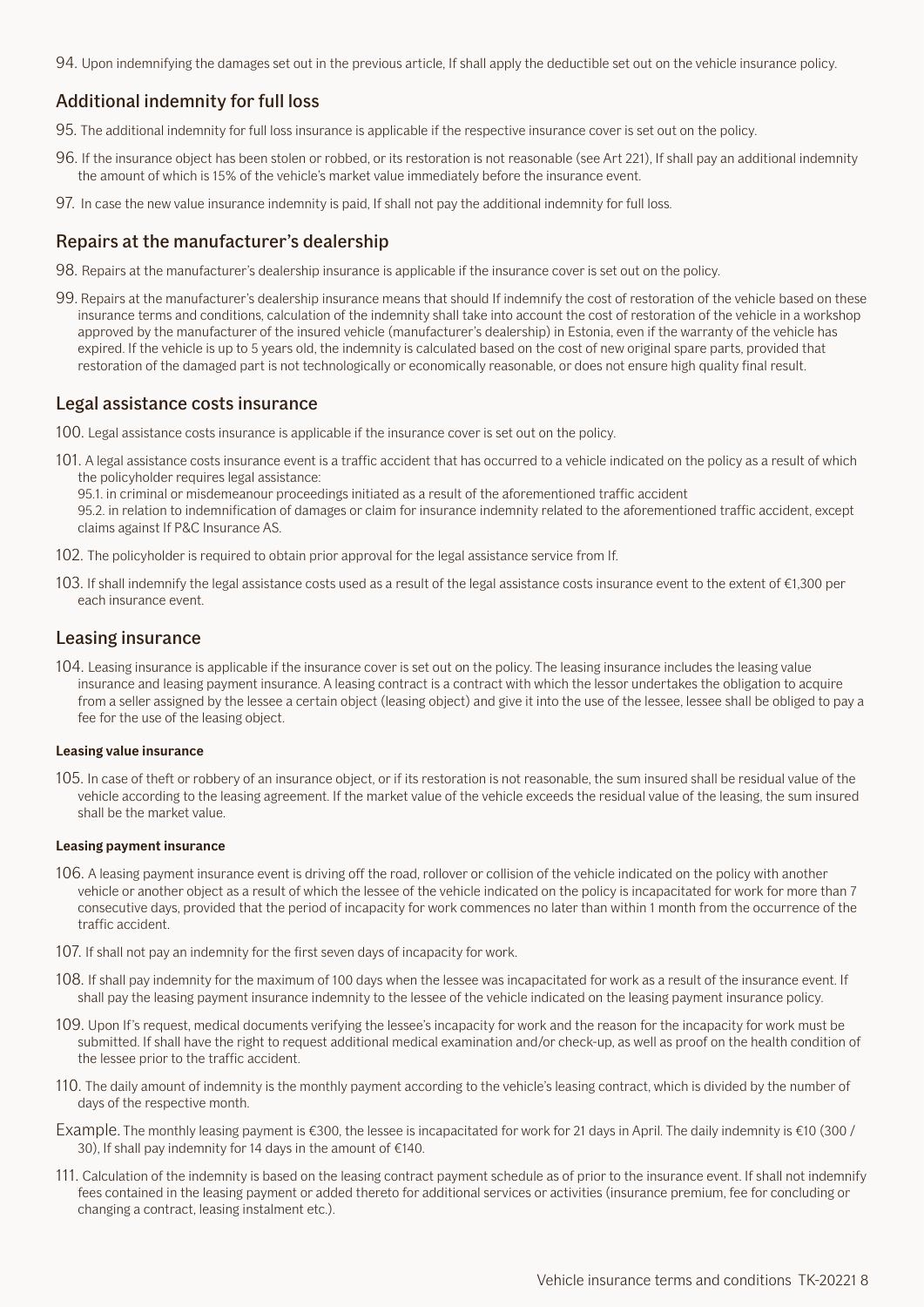<span id="page-7-0"></span>94. Upon indemnifying the damages set out in the previous article, If shall apply the deductible set out on the vehicle insurance policy.

#### Additional indemnity for full loss

- 95. The additional indemnity for full loss insurance is applicable if the respective insurance cover is set out on the policy.
- 96. If the insurance object has been stolen or robbed, or its restoration is not reasonable (see Art 221), If shall pay an additional indemnity the amount of which is 15% of the vehicle's market value immediately before the insurance event.
- 97. In case the new value insurance indemnity is paid, If shall not pay the additional indemnity for full loss.

#### Repairs at the manufacturer's dealership

- 98. Repairs at the manufacturer's dealership insurance is applicable if the insurance cover is set out on the policy.
- 99. Repairs at the manufacturer's dealership insurance means that should If indemnify the cost of restoration of the vehicle based on these insurance terms and conditions, calculation of the indemnity shall take into account the cost of restoration of the vehicle in a workshop approved by the manufacturer of the insured vehicle (manufacturer's dealership) in Estonia, even if the warranty of the vehicle has expired. If the vehicle is up to 5 years old, the indemnity is calculated based on the cost of new original spare parts, provided that restoration of the damaged part is not technologically or economically reasonable, or does not ensure high quality final result.

#### Legal assistance costs insurance

- 100. Legal assistance costs insurance is applicable if the insurance cover is set out on the policy.
- 101. A legal assistance costs insurance event is a traffic accident that has occurred to a vehicle indicated on the policy as a result of which the policyholder requires legal assistance:
	- 95.1. in criminal or misdemeanour proceedings initiated as a result of the aforementioned traffic accident

95.2. in relation to indemnification of damages or claim for insurance indemnity related to the aforementioned traffic accident, except claims against If P&C Insurance AS.

- 102. The policyholder is required to obtain prior approval for the legal assistance service from If.
- 103. If shall indemnify the legal assistance costs used as a result of the legal assistance costs insurance event to the extent of €1,300 per each insurance event.

#### Leasing insurance

104. Leasing insurance is applicable if the insurance cover is set out on the policy. The leasing insurance includes the leasing value insurance and leasing payment insurance. A leasing contract is a contract with which the lessor undertakes the obligation to acquire from a seller assigned by the lessee a certain object (leasing object) and give it into the use of the lessee, lessee shall be obliged to pay a fee for the use of the leasing object.

#### **Leasing value insurance**

105. In case of theft or robbery of an insurance object, or if its restoration is not reasonable, the sum insured shall be residual value of the vehicle according to the leasing agreement. If the market value of the vehicle exceeds the residual value of the leasing, the sum insured shall be the market value.

#### **Leasing payment insurance**

- 106. A leasing payment insurance event is driving off the road, rollover or collision of the vehicle indicated on the policy with another vehicle or another object as a result of which the lessee of the vehicle indicated on the policy is incapacitated for work for more than 7 consecutive days, provided that the period of incapacity for work commences no later than within 1 month from the occurrence of the traffic accident.
- 107. If shall not pay an indemnity for the first seven days of incapacity for work.
- 108. If shall pay indemnity for the maximum of 100 days when the lessee was incapacitated for work as a result of the insurance event. If shall pay the leasing payment insurance indemnity to the lessee of the vehicle indicated on the leasing payment insurance policy.
- 109. Upon If's request, medical documents verifying the lessee's incapacity for work and the reason for the incapacity for work must be submitted. If shall have the right to request additional medical examination and/or check-up, as well as proof on the health condition of the lessee prior to the traffic accident.
- 110. The daily amount of indemnity is the monthly payment according to the vehicle's leasing contract, which is divided by the number of days of the respective month.
- Example. The monthly leasing payment is €300, the lessee is incapacitated for work for 21 days in April. The daily indemnity is €10 (300 / 30), If shall pay indemnity for 14 days in the amount of €140.
- 111. Calculation of the indemnity is based on the leasing contract payment schedule as of prior to the insurance event. If shall not indemnify fees contained in the leasing payment or added thereto for additional services or activities (insurance premium, fee for concluding or changing a contract, leasing instalment etc.).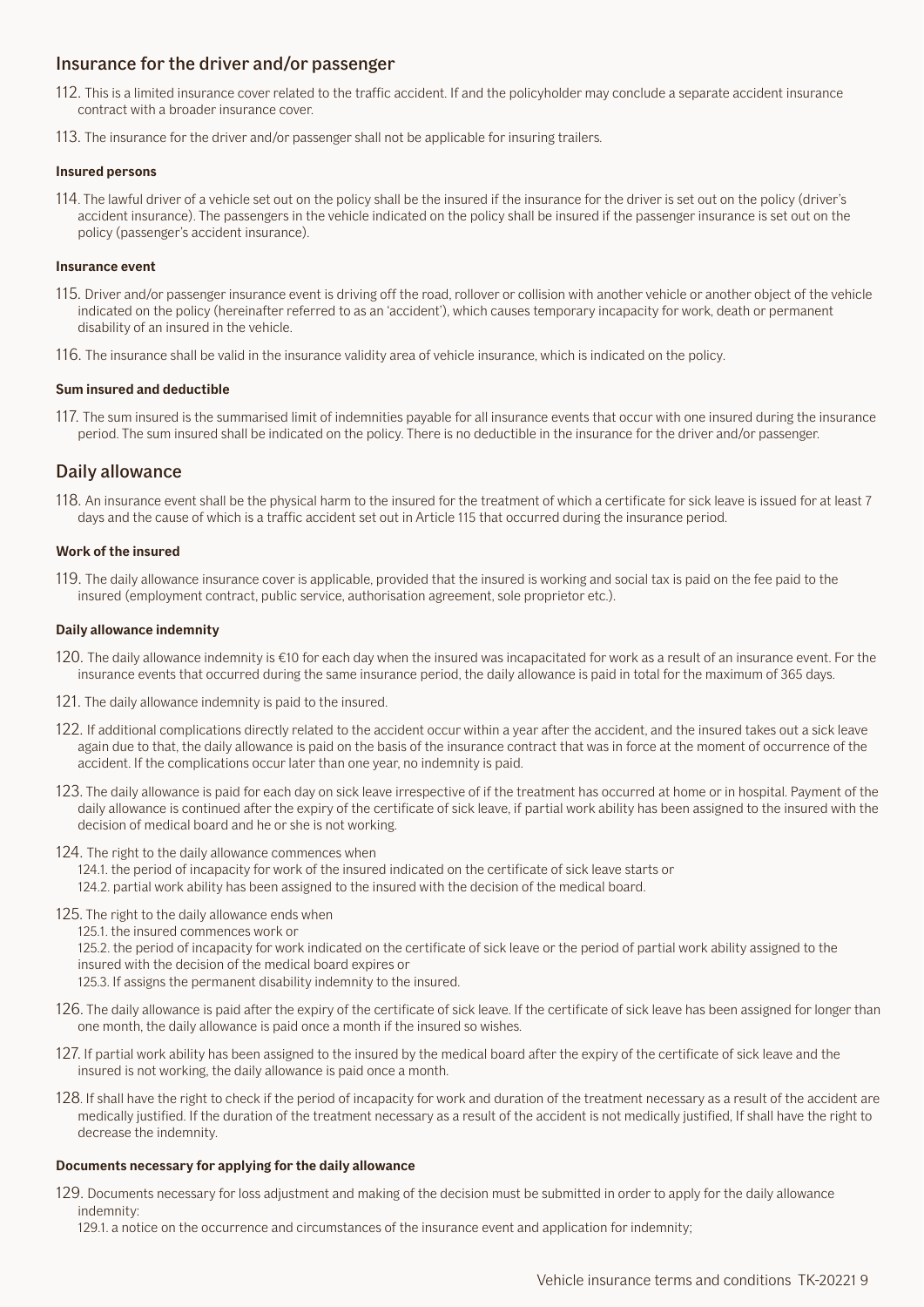#### <span id="page-8-0"></span>Insurance for the driver and/or passenger

- 112. This is a limited insurance cover related to the traffic accident. If and the policyholder may conclude a separate accident insurance contract with a broader insurance cover.
- 113. The insurance for the driver and/or passenger shall not be applicable for insuring trailers.

#### **Insured persons**

114. The lawful driver of a vehicle set out on the policy shall be the insured if the insurance for the driver is set out on the policy (driver's accident insurance). The passengers in the vehicle indicated on the policy shall be insured if the passenger insurance is set out on the policy (passenger's accident insurance).

#### **Insurance event**

- 115. Driver and/or passenger insurance event is driving off the road, rollover or collision with another vehicle or another object of the vehicle indicated on the policy (hereinafter referred to as an 'accident'), which causes temporary incapacity for work, death or permanent disability of an insured in the vehicle.
- 116. The insurance shall be valid in the insurance validity area of vehicle insurance, which is indicated on the policy.

#### **Sum insured and deductible**

117. The sum insured is the summarised limit of indemnities payable for all insurance events that occur with one insured during the insurance period. The sum insured shall be indicated on the policy. There is no deductible in the insurance for the driver and/or passenger.

#### Daily allowance

118. An insurance event shall be the physical harm to the insured for the treatment of which a certificate for sick leave is issued for at least 7 days and the cause of which is a traffic accident set out in Article 115 that occurred during the insurance period.

#### **Work of the insured**

119. The daily allowance insurance cover is applicable, provided that the insured is working and social tax is paid on the fee paid to the insured (employment contract, public service, authorisation agreement, sole proprietor etc.).

#### **Daily allowance indemnity**

- 120. The daily allowance indemnity is €10 for each day when the insured was incapacitated for work as a result of an insurance event. For the insurance events that occurred during the same insurance period, the daily allowance is paid in total for the maximum of 365 days.
- 121. The daily allowance indemnity is paid to the insured.
- 122. If additional complications directly related to the accident occur within a year after the accident, and the insured takes out a sick leave again due to that, the daily allowance is paid on the basis of the insurance contract that was in force at the moment of occurrence of the accident. If the complications occur later than one year, no indemnity is paid.
- 123. The daily allowance is paid for each day on sick leave irrespective of if the treatment has occurred at home or in hospital. Payment of the daily allowance is continued after the expiry of the certificate of sick leave, if partial work ability has been assigned to the insured with the decision of medical board and he or she is not working.
- 124. The right to the daily allowance commences when
	- 124.1. the period of incapacity for work of the insured indicated on the certificate of sick leave starts or 124.2. partial work ability has been assigned to the insured with the decision of the medical board.
- 125. The right to the daily allowance ends when
	- 125.1. the insured commences work or
	- 125.2. the period of incapacity for work indicated on the certificate of sick leave or the period of partial work ability assigned to the insured with the decision of the medical board expires or
	- 125.3. If assigns the permanent disability indemnity to the insured.
- 126. The daily allowance is paid after the expiry of the certificate of sick leave. If the certificate of sick leave has been assigned for longer than one month, the daily allowance is paid once a month if the insured so wishes.
- 127. If partial work ability has been assigned to the insured by the medical board after the expiry of the certificate of sick leave and the insured is not working, the daily allowance is paid once a month.
- 128. If shall have the right to check if the period of incapacity for work and duration of the treatment necessary as a result of the accident are medically justified. If the duration of the treatment necessary as a result of the accident is not medically justified, If shall have the right to decrease the indemnity.

#### **Documents necessary for applying for the daily allowance**

- 129. Documents necessary for loss adjustment and making of the decision must be submitted in order to apply for the daily allowance indemnity:
	- 129.1. a notice on the occurrence and circumstances of the insurance event and application for indemnity;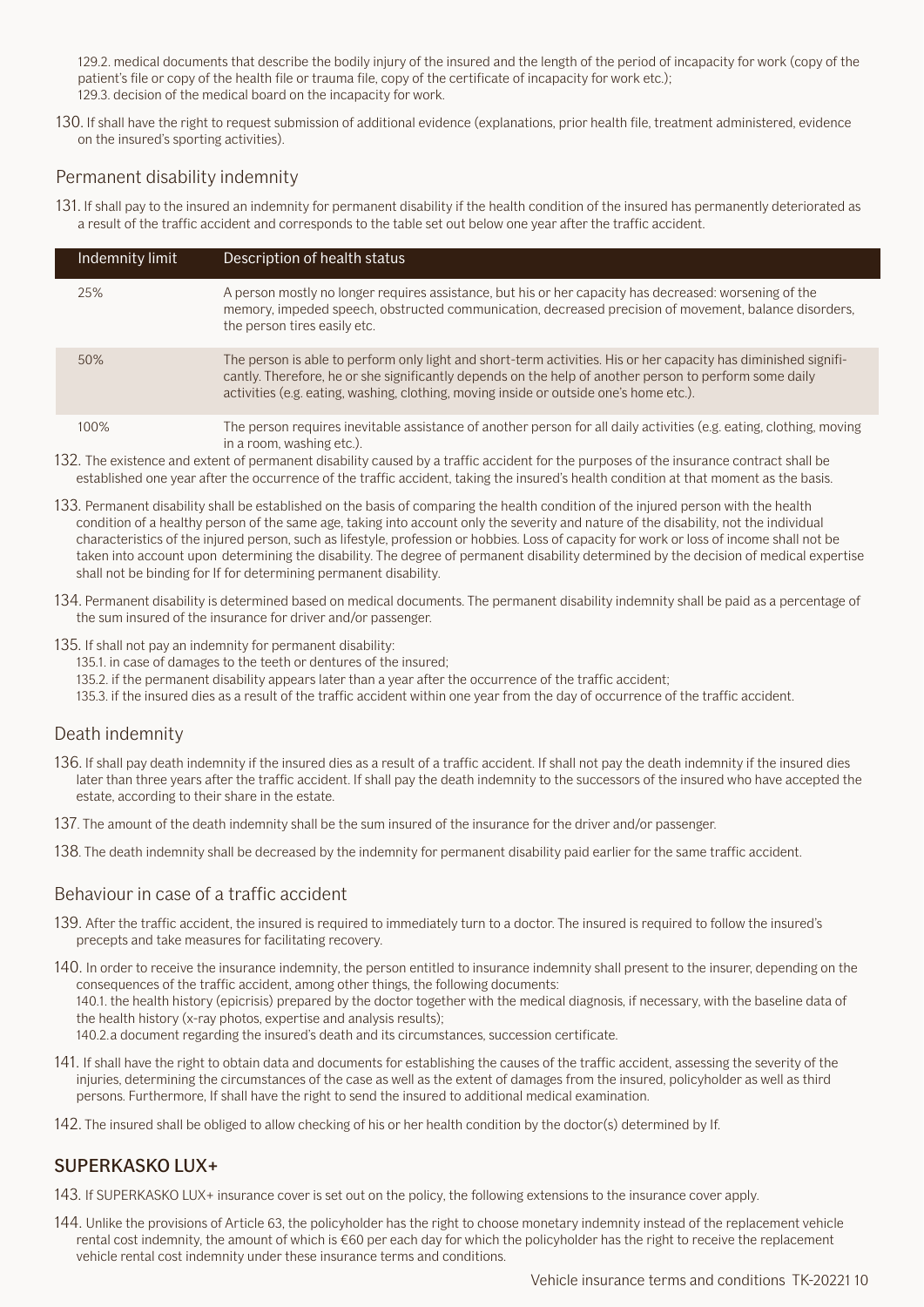<span id="page-9-0"></span>129.2. medical documents that describe the bodily injury of the insured and the length of the period of incapacity for work (copy of the patient's file or copy of the health file or trauma file, copy of the certificate of incapacity for work etc.); 129.3. decision of the medical board on the incapacity for work.

130. If shall have the right to request submission of additional evidence (explanations, prior health file, treatment administered, evidence on the insured's sporting activities).

#### Permanent disability indemnity

131. If shall pay to the insured an indemnity for permanent disability if the health condition of the insured has permanently deteriorated as a result of the traffic accident and corresponds to the table set out below one year after the traffic accident.

| Indemnity limit | Description of health status                                                                                                                                                                                                                                                                                        |
|-----------------|---------------------------------------------------------------------------------------------------------------------------------------------------------------------------------------------------------------------------------------------------------------------------------------------------------------------|
| 25%             | A person mostly no longer requires assistance, but his or her capacity has decreased: worsening of the<br>memory, impeded speech, obstructed communication, decreased precision of movement, balance disorders,<br>the person tires easily etc.                                                                     |
| 50%             | The person is able to perform only light and short-term activities. His or her capacity has diminished signifi-<br>cantly. Therefore, he or she significantly depends on the help of another person to perform some daily<br>activities (e.g. eating, washing, clothing, moving inside or outside one's home etc.). |
| 100%            | The person requires inevitable assistance of another person for all daily activities (e.g. eating, clothing, moving<br>in a room, washing etc.).                                                                                                                                                                    |

- 132. The existence and extent of permanent disability caused by a traffic accident for the purposes of the insurance contract shall be established one year after the occurrence of the traffic accident, taking the insured's health condition at that moment as the basis.
- 133. Permanent disability shall be established on the basis of comparing the health condition of the injured person with the health condition of a healthy person of the same age, taking into account only the severity and nature of the disability, not the individual characteristics of the injured person, such as lifestyle, profession or hobbies. Loss of capacity for work or loss of income shall not be taken into account upon determining the disability. The degree of permanent disability determined by the decision of medical expertise shall not be binding for If for determining permanent disability.
- 134. Permanent disability is determined based on medical documents. The permanent disability indemnity shall be paid as a percentage of the sum insured of the insurance for driver and/or passenger.
- 135. If shall not pay an indemnity for permanent disability:
	- 135.1. in case of damages to the teeth or dentures of the insured;
	- 135.2. if the permanent disability appears later than a year after the occurrence of the traffic accident;
	- 135.3. if the insured dies as a result of the traffic accident within one year from the day of occurrence of the traffic accident.

#### Death indemnity

- 136. If shall pay death indemnity if the insured dies as a result of a traffic accident. If shall not pay the death indemnity if the insured dies later than three years after the traffic accident. If shall pay the death indemnity to the successors of the insured who have accepted the estate, according to their share in the estate.
- 137. The amount of the death indemnity shall be the sum insured of the insurance for the driver and/or passenger.
- 138. The death indemnity shall be decreased by the indemnity for permanent disability paid earlier for the same traffic accident.

#### Behaviour in case of a traffic accident

- 139. After the traffic accident, the insured is required to immediately turn to a doctor. The insured is required to follow the insured's precepts and take measures for facilitating recovery.
- 140. In order to receive the insurance indemnity, the person entitled to insurance indemnity shall present to the insurer, depending on the consequences of the traffic accident, among other things, the following documents: 140.1. the health history (epicrisis) prepared by the doctor together with the medical diagnosis, if necessary, with the baseline data of the health history (x-ray photos, expertise and analysis results); 140.2.a document regarding the insured's death and its circumstances, succession certificate.
- 141. If shall have the right to obtain data and documents for establishing the causes of the traffic accident, assessing the severity of the injuries, determining the circumstances of the case as well as the extent of damages from the insured, policyholder as well as third persons. Furthermore, If shall have the right to send the insured to additional medical examination.
- 142. The insured shall be obliged to allow checking of his or her health condition by the doctor(s) determined by If.

#### SUPERKASKO LUX+

- 143. If SUPERKASKO LUX+ insurance cover is set out on the policy, the following extensions to the insurance cover apply.
- 144. Unlike the provisions of Article 63, the policyholder has the right to choose monetary indemnity instead of the replacement vehicle rental cost indemnity, the amount of which is €60 per each day for which the policyholder has the right to receive the replacement vehicle rental cost indemnity under these insurance terms and conditions.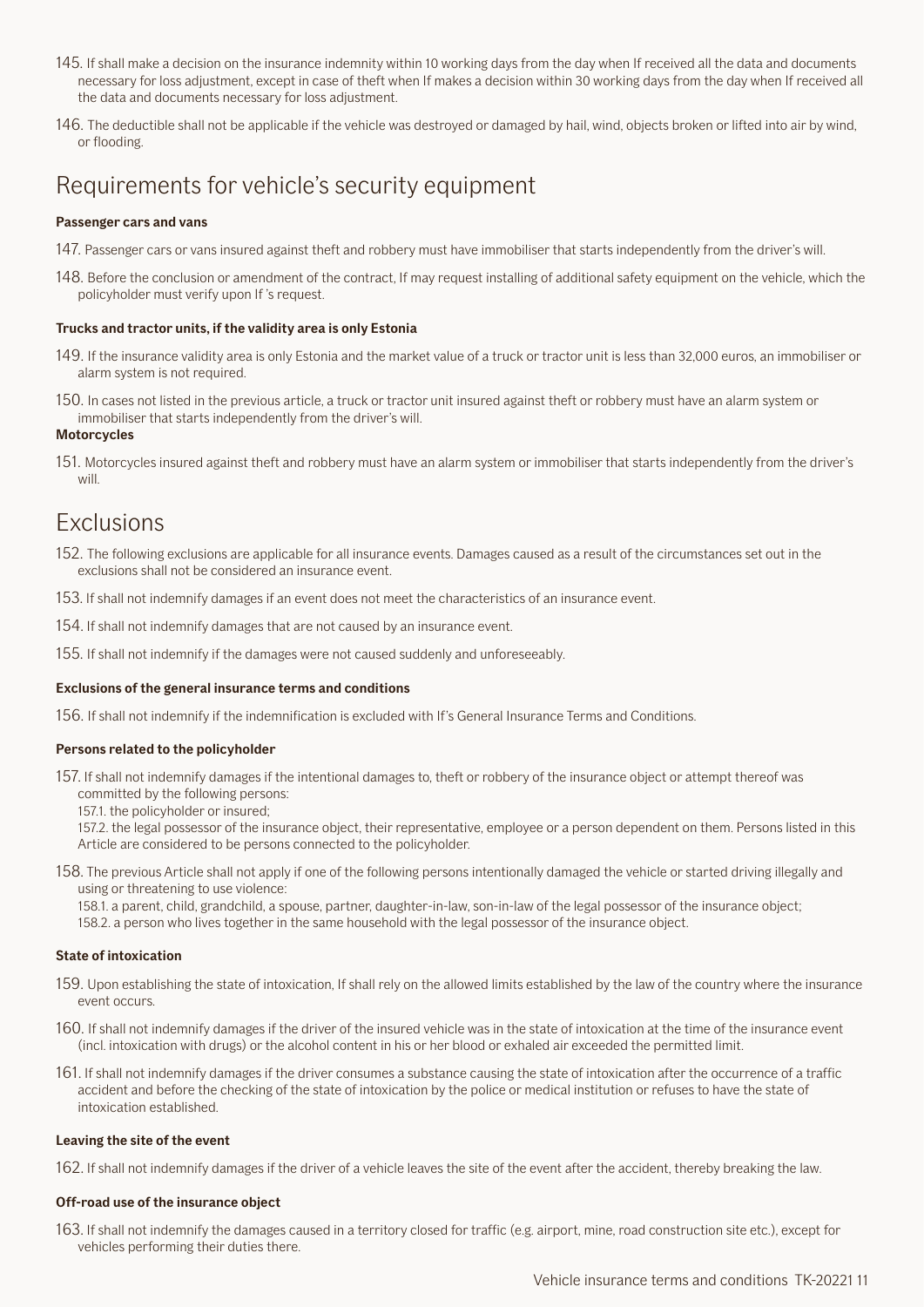- <span id="page-10-0"></span>145. If shall make a decision on the insurance indemnity within 10 working days from the day when If received all the data and documents necessary for loss adjustment, except in case of theft when If makes a decision within 30 working days from the day when If received all the data and documents necessary for loss adjustment.
- 146. The deductible shall not be applicable if the vehicle was destroyed or damaged by hail, wind, objects broken or lifted into air by wind, or flooding.

## Requirements for vehicle's security equipment

#### **Passenger cars and vans**

- 147. Passenger cars or vans insured against theft and robbery must have immobiliser that starts independently from the driver's will.
- 148. Before the conclusion or amendment of the contract, If may request installing of additional safety equipment on the vehicle, which the policyholder must verify upon If 's request.

#### **Trucks and tractor units, if the validity area is only Estonia**

- 149. If the insurance validity area is only Estonia and the market value of a truck or tractor unit is less than 32,000 euros, an immobiliser or alarm system is not required.
- 150. In cases not listed in the previous article, a truck or tractor unit insured against theft or robbery must have an alarm system or immobiliser that starts independently from the driver's will.

#### **Motorcycles**

151. Motorcycles insured against theft and robbery must have an alarm system or immobiliser that starts independently from the driver's will

## Exclusions

- 152. The following exclusions are applicable for all insurance events. Damages caused as a result of the circumstances set out in the exclusions shall not be considered an insurance event.
- 153. If shall not indemnify damages if an event does not meet the characteristics of an insurance event.
- 154. If shall not indemnify damages that are not caused by an insurance event.
- 155. If shall not indemnify if the damages were not caused suddenly and unforeseeably.

#### **Exclusions of the general insurance terms and conditions**

156. If shall not indemnify if the indemnification is excluded with If's General Insurance Terms and Conditions.

#### **Persons related to the policyholder**

157. If shall not indemnify damages if the intentional damages to, theft or robbery of the insurance object or attempt thereof was committed by the following persons:

157.1. the policyholder or insured;

157.2. the legal possessor of the insurance object, their representative, employee or a person dependent on them. Persons listed in this Article are considered to be persons connected to the policyholder.

- 158. The previous Article shall not apply if one of the following persons intentionally damaged the vehicle or started driving illegally and using or threatening to use violence:
	- 158.1. a parent, child, grandchild, a spouse, partner, daughter-in-law, son-in-law of the legal possessor of the insurance object;

158.2. a person who lives together in the same household with the legal possessor of the insurance object.

#### **State of intoxication**

- 159. Upon establishing the state of intoxication, If shall rely on the allowed limits established by the law of the country where the insurance event occurs.
- 160. If shall not indemnify damages if the driver of the insured vehicle was in the state of intoxication at the time of the insurance event (incl. intoxication with drugs) or the alcohol content in his or her blood or exhaled air exceeded the permitted limit.
- 161. If shall not indemnify damages if the driver consumes a substance causing the state of intoxication after the occurrence of a traffic accident and before the checking of the state of intoxication by the police or medical institution or refuses to have the state of intoxication established.

#### **Leaving the site of the event**

162. If shall not indemnify damages if the driver of a vehicle leaves the site of the event after the accident, thereby breaking the law.

#### **Off-road use of the insurance object**

163. If shall not indemnify the damages caused in a territory closed for traffic (e.g. airport, mine, road construction site etc.), except for vehicles performing their duties there.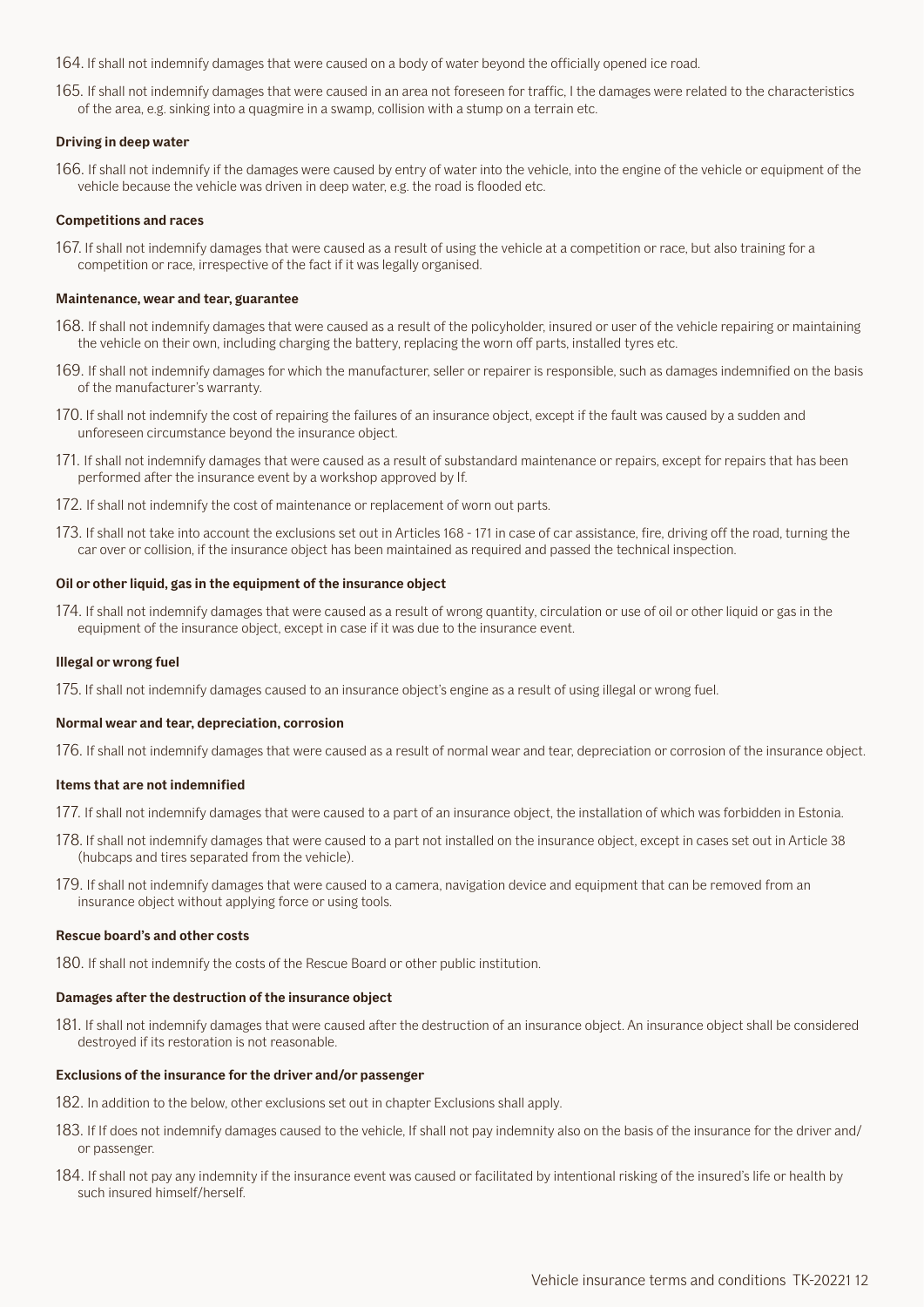164. If shall not indemnify damages that were caused on a body of water beyond the officially opened ice road.

165. If shall not indemnify damages that were caused in an area not foreseen for traffic, I the damages were related to the characteristics of the area, e.g. sinking into a quagmire in a swamp, collision with a stump on a terrain etc.

#### **Driving in deep water**

166. If shall not indemnify if the damages were caused by entry of water into the vehicle, into the engine of the vehicle or equipment of the vehicle because the vehicle was driven in deep water, e.g. the road is flooded etc.

#### **Competitions and races**

167. If shall not indemnify damages that were caused as a result of using the vehicle at a competition or race, but also training for a competition or race, irrespective of the fact if it was legally organised.

#### **Maintenance, wear and tear, guarantee**

- 168. If shall not indemnify damages that were caused as a result of the policyholder, insured or user of the vehicle repairing or maintaining the vehicle on their own, including charging the battery, replacing the worn off parts, installed tyres etc.
- 169. If shall not indemnify damages for which the manufacturer, seller or repairer is responsible, such as damages indemnified on the basis of the manufacturer's warranty.
- 170. If shall not indemnify the cost of repairing the failures of an insurance object, except if the fault was caused by a sudden and unforeseen circumstance beyond the insurance object.
- 171. If shall not indemnify damages that were caused as a result of substandard maintenance or repairs, except for repairs that has been performed after the insurance event by a workshop approved by If.
- 172. If shall not indemnify the cost of maintenance or replacement of worn out parts.
- 173. If shall not take into account the exclusions set out in Articles 168 171 in case of car assistance, fire, driving off the road, turning the car over or collision, if the insurance object has been maintained as required and passed the technical inspection.

#### **Oil or other liquid, gas in the equipment of the insurance object**

174. If shall not indemnify damages that were caused as a result of wrong quantity, circulation or use of oil or other liquid or gas in the equipment of the insurance object, except in case if it was due to the insurance event.

#### **Illegal or wrong fuel**

175. If shall not indemnify damages caused to an insurance object's engine as a result of using illegal or wrong fuel.

#### **Normal wear and tear, depreciation, corrosion**

176. If shall not indemnify damages that were caused as a result of normal wear and tear, depreciation or corrosion of the insurance object.

#### **Items that are not indemnified**

- 177. If shall not indemnify damages that were caused to a part of an insurance object, the installation of which was forbidden in Estonia.
- 178. If shall not indemnify damages that were caused to a part not installed on the insurance object, except in cases set out in Article 38 (hubcaps and tires separated from the vehicle).
- 179. If shall not indemnify damages that were caused to a camera, navigation device and equipment that can be removed from an insurance object without applying force or using tools.

#### **Rescue board's and other costs**

180. If shall not indemnify the costs of the Rescue Board or other public institution.

#### **Damages after the destruction of the insurance object**

181. If shall not indemnify damages that were caused after the destruction of an insurance object. An insurance object shall be considered destroyed if its restoration is not reasonable.

#### **Exclusions of the insurance for the driver and/or passenger**

- 182. In addition to the below, other exclusions set out in chapter Exclusions shall apply.
- 183. If If does not indemnify damages caused to the vehicle, If shall not pay indemnity also on the basis of the insurance for the driver and/ or passenger.
- 184. If shall not pay any indemnity if the insurance event was caused or facilitated by intentional risking of the insured's life or health by such insured himself/herself.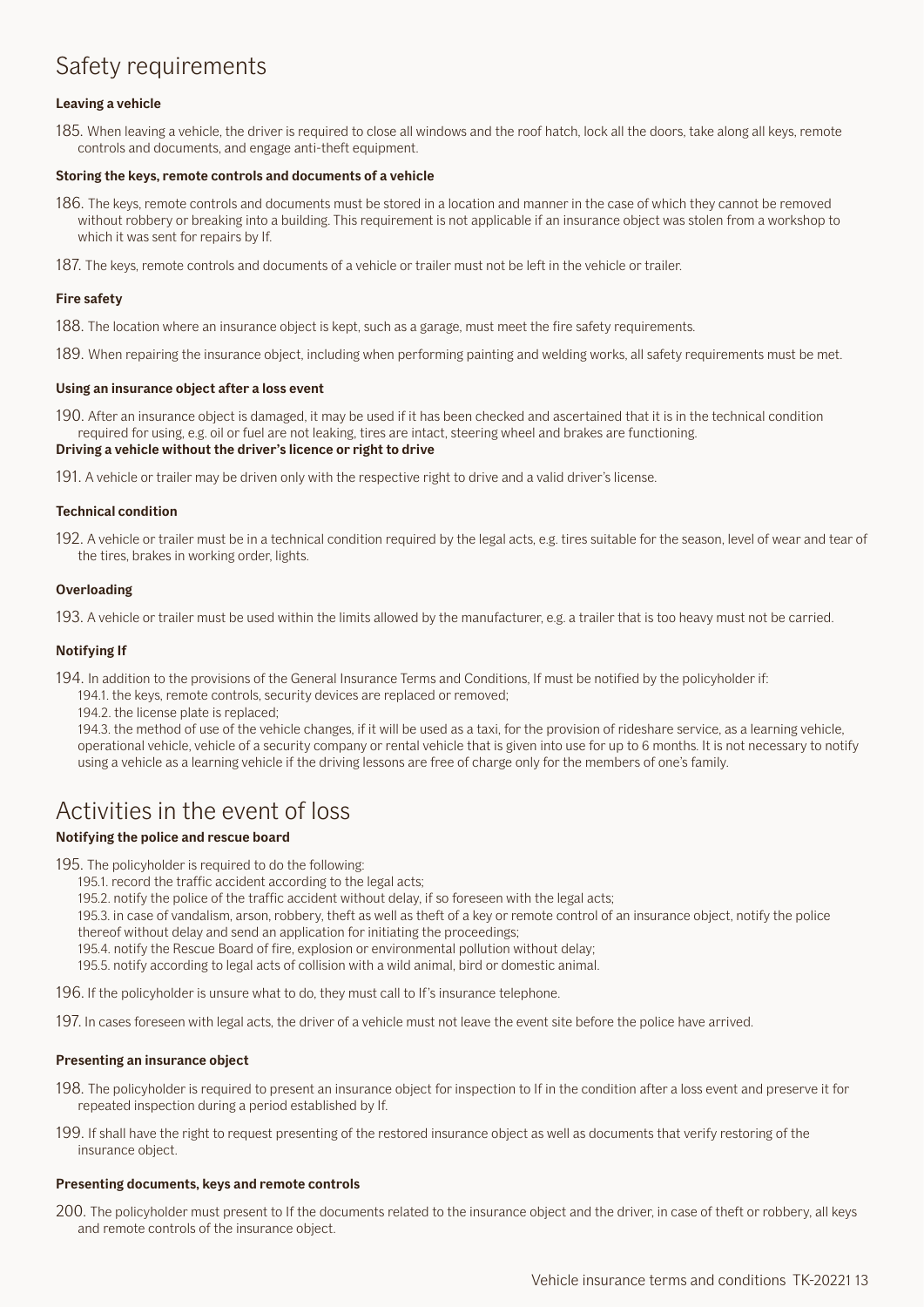## <span id="page-12-0"></span>Safety requirements

#### **Leaving a vehicle**

185. When leaving a vehicle, the driver is required to close all windows and the roof hatch, lock all the doors, take along all keys, remote controls and documents, and engage anti-theft equipment.

#### **Storing the keys, remote controls and documents of a vehicle**

- 186. The keys, remote controls and documents must be stored in a location and manner in the case of which they cannot be removed without robbery or breaking into a building. This requirement is not applicable if an insurance object was stolen from a workshop to which it was sent for repairs by If.
- 187. The keys, remote controls and documents of a vehicle or trailer must not be left in the vehicle or trailer.

#### **Fire safety**

- 188. The location where an insurance object is kept, such as a garage, must meet the fire safety requirements.
- 189. When repairing the insurance object, including when performing painting and welding works, all safety requirements must be met.

#### **Using an insurance object after a loss event**

190. After an insurance object is damaged, it may be used if it has been checked and ascertained that it is in the technical condition required for using, e.g. oil or fuel are not leaking, tires are intact, steering wheel and brakes are functioning.

#### **Driving a vehicle without the driver's licence or right to drive**

191. A vehicle or trailer may be driven only with the respective right to drive and a valid driver's license.

#### **Technical condition**

192. A vehicle or trailer must be in a technical condition required by the legal acts, e.g. tires suitable for the season, level of wear and tear of the tires, brakes in working order, lights.

#### **Overloading**

193. A vehicle or trailer must be used within the limits allowed by the manufacturer, e.g. a trailer that is too heavy must not be carried.

#### **Notifying If**

- 194. In addition to the provisions of the General Insurance Terms and Conditions, If must be notified by the policyholder if:
	- 194.1. the keys, remote controls, security devices are replaced or removed;
	- 194.2. the license plate is replaced;

194.3. the method of use of the vehicle changes, if it will be used as a taxi, for the provision of rideshare service, as a learning vehicle, operational vehicle, vehicle of a security company or rental vehicle that is given into use for up to 6 months. It is not necessary to notify using a vehicle as a learning vehicle if the driving lessons are free of charge only for the members of one's family.

## Activities in the event of loss

#### **Notifying the police and rescue board**

195. The policyholder is required to do the following:

- 195.1. record the traffic accident according to the legal acts;
- 195.2. notify the police of the traffic accident without delay, if so foreseen with the legal acts;
- 195.3. in case of vandalism, arson, robbery, theft as well as theft of a key or remote control of an insurance object, notify the police thereof without delay and send an application for initiating the proceedings;
- 195.4. notify the Rescue Board of fire, explosion or environmental pollution without delay;
- 195.5. notify according to legal acts of collision with a wild animal, bird or domestic animal.

196. If the policyholder is unsure what to do, they must call to If's insurance telephone.

197. In cases foreseen with legal acts, the driver of a vehicle must not leave the event site before the police have arrived.

#### **Presenting an insurance object**

- 198. The policyholder is required to present an insurance object for inspection to If in the condition after a loss event and preserve it for repeated inspection during a period established by If.
- 199. If shall have the right to request presenting of the restored insurance object as well as documents that verify restoring of the insurance object.

#### **Presenting documents, keys and remote controls**

200. The policyholder must present to If the documents related to the insurance object and the driver, in case of theft or robbery, all keys and remote controls of the insurance object.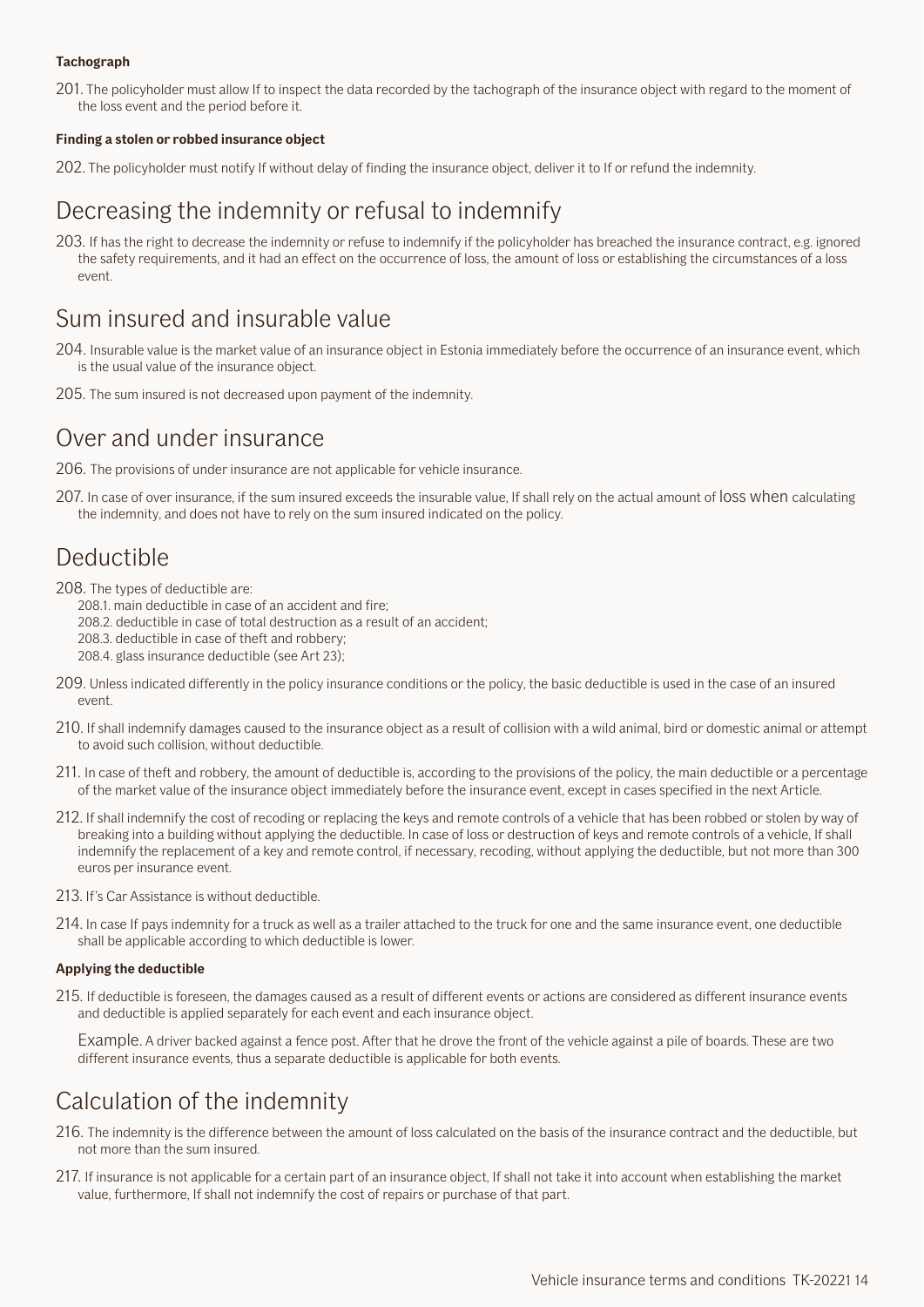#### <span id="page-13-0"></span>**Tachograph**

201. The policyholder must allow If to inspect the data recorded by the tachograph of the insurance object with regard to the moment of the loss event and the period before it.

#### **Finding a stolen or robbed insurance object**

202. The policyholder must notify If without delay of finding the insurance object, deliver it to If or refund the indemnity.

## Decreasing the indemnity or refusal to indemnify

203. If has the right to decrease the indemnity or refuse to indemnify if the policyholder has breached the insurance contract, e.g. ignored the safety requirements, and it had an effect on the occurrence of loss, the amount of loss or establishing the circumstances of a loss event.

## Sum insured and insurable value

- 204. Insurable value is the market value of an insurance object in Estonia immediately before the occurrence of an insurance event, which is the usual value of the insurance object.
- 205. The sum insured is not decreased upon payment of the indemnity.

## Over and under insurance

- 206. The provisions of under insurance are not applicable for vehicle insurance.
- 207. In case of over insurance, if the sum insured exceeds the insurable value, If shall rely on the actual amount of loss when calculating the indemnity, and does not have to rely on the sum insured indicated on the policy.

## Deductible

- 208. The types of deductible are:
	- 208.1. main deductible in case of an accident and fire;
	- 208.2. deductible in case of total destruction as a result of an accident;
	- 208.3. deductible in case of theft and robbery;
	- 208.4. glass insurance deductible (see Art 23);
- 209. Unless indicated differently in the policy insurance conditions or the policy, the basic deductible is used in the case of an insured event.
- 210. If shall indemnify damages caused to the insurance object as a result of collision with a wild animal, bird or domestic animal or attempt to avoid such collision, without deductible.
- 211. In case of theft and robbery, the amount of deductible is, according to the provisions of the policy, the main deductible or a percentage of the market value of the insurance object immediately before the insurance event, except in cases specified in the next Article.
- 212. If shall indemnify the cost of recoding or replacing the keys and remote controls of a vehicle that has been robbed or stolen by way of breaking into a building without applying the deductible. In case of loss or destruction of keys and remote controls of a vehicle, If shall indemnify the replacement of a key and remote control, if necessary, recoding, without applying the deductible, but not more than 300 euros per insurance event.
- 213. If's Car Assistance is without deductible.
- 214. In case If pays indemnity for a truck as well as a trailer attached to the truck for one and the same insurance event, one deductible shall be applicable according to which deductible is lower.

#### **Applying the deductible**

215. If deductible is foreseen, the damages caused as a result of different events or actions are considered as different insurance events and deductible is applied separately for each event and each insurance object.

Example. A driver backed against a fence post. After that he drove the front of the vehicle against a pile of boards. These are two different insurance events, thus a separate deductible is applicable for both events.

## Calculation of the indemnity

- 216. The indemnity is the difference between the amount of loss calculated on the basis of the insurance contract and the deductible, but not more than the sum insured.
- 217. If insurance is not applicable for a certain part of an insurance object, If shall not take it into account when establishing the market value, furthermore, If shall not indemnify the cost of repairs or purchase of that part.